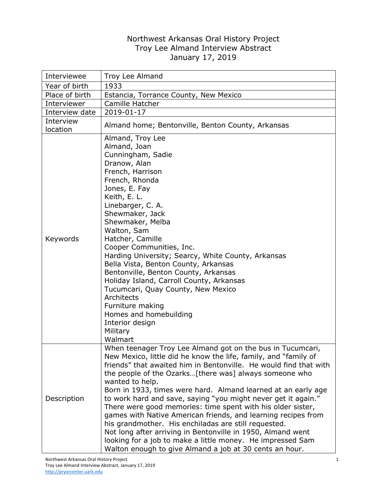## Northwest Arkansas Oral History Project Troy Lee Almand Interview Abstract January 17, 2019

| Interviewee           | Troy Lee Almand                                                                                                                                                                                                                                                                                                                                                                                                                                                                                                                                                                                                                                                                                                                     |
|-----------------------|-------------------------------------------------------------------------------------------------------------------------------------------------------------------------------------------------------------------------------------------------------------------------------------------------------------------------------------------------------------------------------------------------------------------------------------------------------------------------------------------------------------------------------------------------------------------------------------------------------------------------------------------------------------------------------------------------------------------------------------|
| Year of birth         | 1933                                                                                                                                                                                                                                                                                                                                                                                                                                                                                                                                                                                                                                                                                                                                |
| Place of birth        | Estancia, Torrance County, New Mexico                                                                                                                                                                                                                                                                                                                                                                                                                                                                                                                                                                                                                                                                                               |
| Interviewer           | Camille Hatcher                                                                                                                                                                                                                                                                                                                                                                                                                                                                                                                                                                                                                                                                                                                     |
| Interview date        | 2019-01-17                                                                                                                                                                                                                                                                                                                                                                                                                                                                                                                                                                                                                                                                                                                          |
| Interview<br>location | Almand home; Bentonville, Benton County, Arkansas                                                                                                                                                                                                                                                                                                                                                                                                                                                                                                                                                                                                                                                                                   |
| Keywords              | Almand, Troy Lee<br>Almand, Joan<br>Cunningham, Sadie<br>Dranow, Alan<br>French, Harrison<br>French, Rhonda<br>Jones, E. Fay<br>Keith, E. L.<br>Linebarger, C. A.<br>Shewmaker, Jack<br>Shewmaker, Melba<br>Walton, Sam<br>Hatcher, Camille<br>Cooper Communities, Inc.<br>Harding University; Searcy, White County, Arkansas<br>Bella Vista, Benton County, Arkansas<br>Bentonville, Benton County, Arkansas<br>Holiday Island, Carroll County, Arkansas<br>Tucumcari, Quay County, New Mexico<br>Architects<br>Furniture making<br>Homes and homebuilding<br>Interior design<br>Military<br>Walmart<br>When teenager Troy Lee Almand got on the bus in Tucumcari,                                                                 |
| Description           | New Mexico, little did he know the life, family, and "family of<br>friends" that awaited him in Bentonville. He would find that with<br>the people of the Ozarks[there was] always someone who<br>wanted to help.<br>Born in 1933, times were hard. Almand learned at an early age<br>to work hard and save, saying "you might never get it again."<br>There were good memories: time spent with his older sister,<br>games with Native American friends, and learning recipes from<br>his grandmother. His enchiladas are still requested.<br>Not long after arriving in Bentonville in 1950, Almand went<br>looking for a job to make a little money. He impressed Sam<br>Walton enough to give Almand a job at 30 cents an hour. |